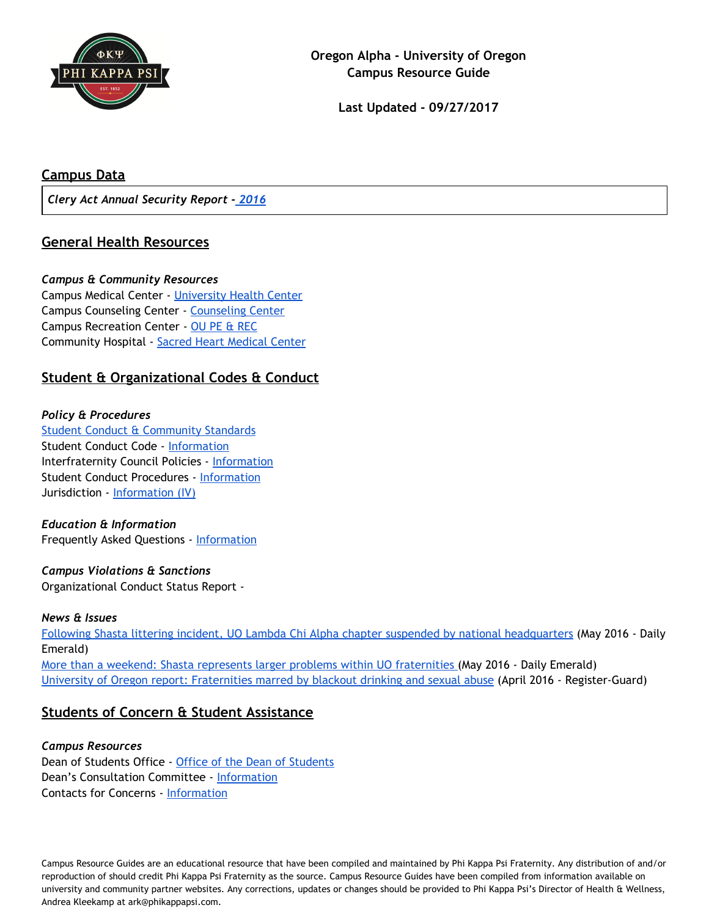

**Last Updated - 09/27/2017**

## **Campus Data**

*Clery Act Annual Security Report - [2016](http://police.uoregon.edu/annual-report)*

## **General Health Resources**

#### *Campus & Community Resources*

Campus Medical Center - [University](https://healthcenter.uoregon.edu/) Health Center Campus Counseling Center - [Counseling](http://counseling.uoregon.edu/) Center Campus Recreation Center - OU PE & [REC](https://uorec.uoregon.edu/) Community Hospital - Sacred Heart [Medical](https://www.peacehealth.org/sacred-heart-university-district) Center

## **Student & Organizational Codes & Conduct**

### *Policy & Procedures*

Student Conduct & [Community](http://dos.uoregon.edu/conduct) Standards Student Conduct Code - [Information](http://dos.uoregon.edu/social-misconduct) Interfraternity Council Policies - [Information](http://oregonfsl.orgsync.com/Councils) Student Conduct Procedures - [Information](http://dos.uoregon.edu/conduct%20process) Jurisdiction - [Information](http://policies.uoregon.edu/vol-3-administration-student-affairs/ch-1-conduct/student-conduct-code) (IV)

### *Education & Information*

Frequently Asked Questions - [Information](http://dos.uoregon.edu/faq)

## *Campus Violations & Sanctions*

Organizational Conduct Status Report -

#### *News & Issues*

Following Shasta littering incident, UO Lambda Chi Alpha chapter suspended by national [headquarters](https://www.dailyemerald.com/2016/05/23/following-shasta-littering-incident-uo-lambda-chi-alpha-chapter-suspended-by-national-headquarters/) (May 2016 - Daily Emerald) More than a weekend: Shasta represents larger problems within UO [fraternities](https://www.dailyemerald.com/2016/05/31/more-than-a-weekend-shasta-represents-larger-problems-within-uo-fraternities/) (May 2016 - Daily Emerald) University of Oregon report: [Fraternities](http://registerguard.com/rg/news/local/34268896-75/university-of-oregon-report-fraternities-marred-by-blackout-drinking-and-sexual-abuse.html.csp) marred by blackout drinking and sexual abuse (April 2016 - Register-Guard)

## **Students of Concern & Student Assistance**

#### *Campus Resources*

Dean of [Students](https://uodos.uoregon.edu/) Office - Office of the Dean of Students Dean's Consultation Committee - [Information](http://dos.uoregon.edu/dcc) Contacts for Concerns - [Information](http://dos.uoregon.edu/concern)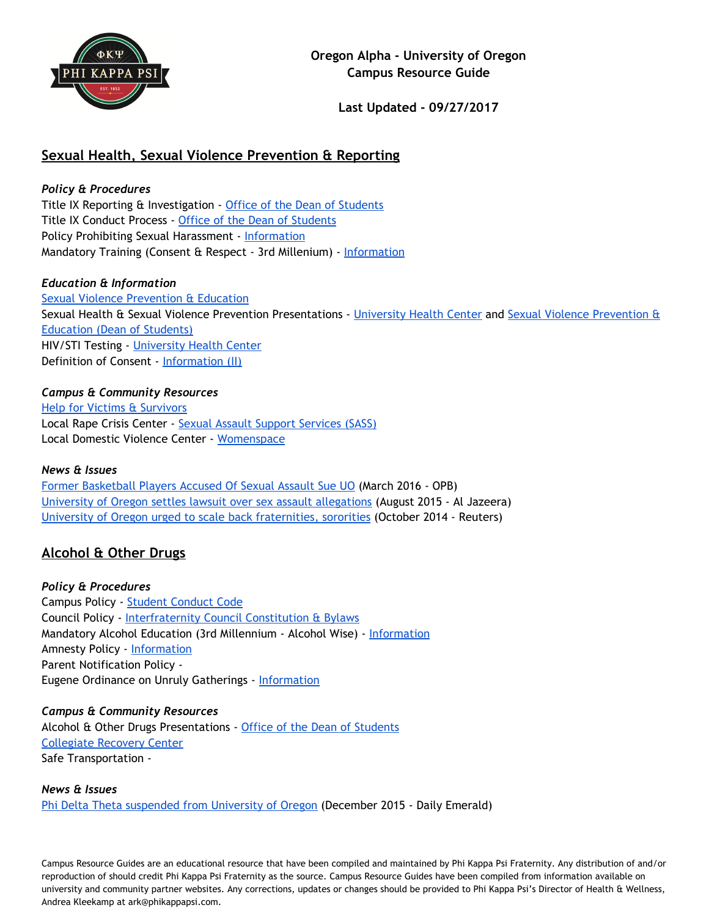

**Last Updated - 09/27/2017**

## **Sexual Health, Sexual Violence Prevention & Reporting**

*Policy & Procedures* Title IX Reporting & Investigation - Office of the Dean of [Students](http://dos.uoregon.edu/sexual-misconduct) Title IX Conduct Process - Office of the Dean of [Students](http://dos.uoregon.edu/sexual-misconduct) Policy Prohibiting Sexual Harassment - [Information](https://safe.uoregon.edu/sexual-assault) Mandatory Training (Consent & Respect - 3rd Millenium) - [Information](http://dos.uoregon.edu/prevention-course)

### *Education & Information*

Sexual Violence [Prevention](https://dos.uoregon.edu/svpe) & Education Sexual Health & Sexual Violence Prevention Presentations - [University](https://healthcenter.uoregon.edu/Services/SexualHealthServices.aspx) Health Center and Sexual Violence [Prevention](https://studentlife.uoregon.edu/svpe/educationandtraining) & [Education](https://studentlife.uoregon.edu/svpe/educationandtraining) (Dean of Students) HIV/STI Testing - [University](http://health.uoregon.edu/sexualhealth) Health Center Definition of Consent - [Information](http://policies.uoregon.edu/vol-3-administration-student-affairs/ch-1-conduct/student-conduct-code) (II)

*Campus & Community Resources* Help for Victims & [Survivors](https://safe.uoregon.edu/) Local Rape Crisis Center - Sexual Assault Support [Services](http://sass-lane.org/) (SASS) Local Domestic Violence Center - [Womenspace](http://womenspaceinc.org/)

#### *News & Issues*

Former [Basketball](http://www.opb.org/news/article/dominic-artis-damyean-dotson-sue-oregon-ducks-sexual-assault/) Players Accused Of Sexual Assault Sue UO (March 2016 - OPB) University of Oregon settles lawsuit over sex assault [allegations](http://america.aljazeera.com/articles/2015/8/5/university-of-oregon-settles-lawsuit-over-sexual-assault-allegations.html) (August 2015 - Al Jazeera) University of Oregon urged to scale back [fraternities,](http://www.reuters.com/article/us-usa-education-sexassaults-idUSKCN0IC2O720141023) sororities (October 2014 - Reuters)

## **Alcohol & Other Drugs**

*Policy & Procedures* Campus Policy - Student [Conduct](http://policies.uoregon.edu/vol-3-administration-student-affairs/ch-1-conduct/student-conduct-code) Code Council Policy - [Interfraternity](http://oregonfsl.orgsync.com/Councils) Council Constitution & Bylaws Mandatory Alcohol Education (3rd Millennium - Alcohol Wise) - [Information](http://dos.uoregon.edu/prevention-course) Amnesty Policy - [Information](https://studentlife.uoregon.edu/alcohol) Parent Notification Policy - Eugene Ordinance on Unruly Gatherings - [Information](https://www.eugene-or.gov/2373/Party-Safe-Party-Responsibly)

*Campus & Community Resources* Alcohol & Other Drugs Presentations - Office of the Dean of [Students](http://dos.uoregon.edu/aod) [Collegiate](http://recovery.uoregon.edu/) Recovery Center Safe Transportation -

*News & Issues* Phi Delta Theta [suspended](http://www.dailyemerald.com/2015/12/02/phi-delta-theta-banned-from-university-of-oregon/) from University of Oregon (December 2015 - Daily Emerald)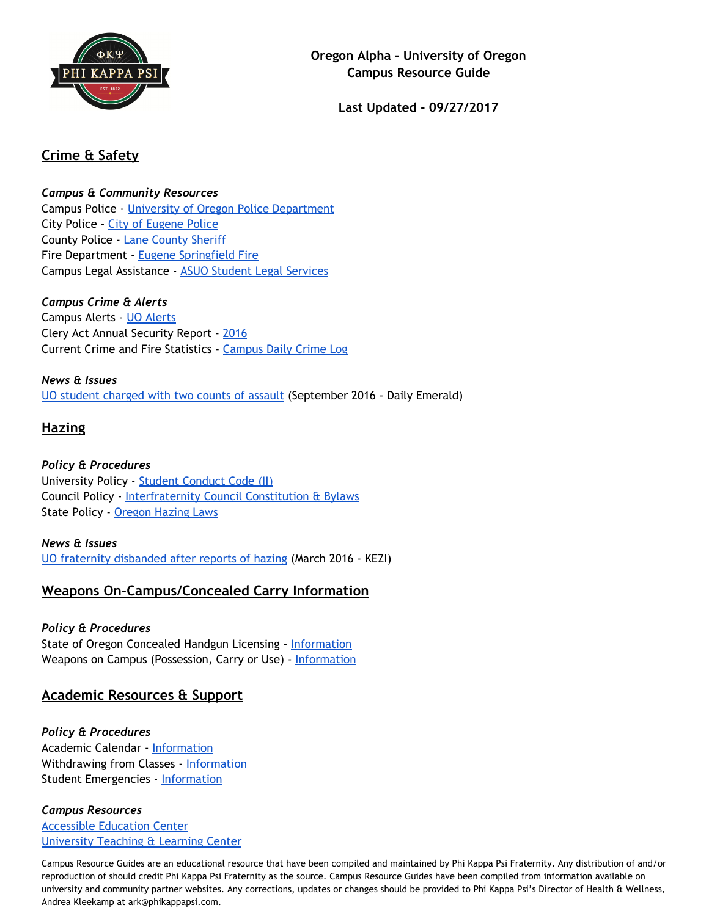

**Last Updated - 09/27/2017**

# **Crime & Safety**

*Campus & Community Resources*

Campus Police - University of Oregon Police [Department](http://police.uoregon.edu/) City Police - City of [Eugene](https://www.eugene-or.gov/162/Police) Police County Police - Lane [County](http://www.lanecounty.org/Departments/Sheriff/Pages/default.aspx) Sheriff Fire Department - Eugene [Springfield](https://www.eugene-or.gov/120/Fire-and-Emergency-Medical-Services) Fire Campus Legal Assistance - ASUO Student Legal [Services](http://asuolegal.org/)

*Campus Crime & Alerts* Campus Alerts - UO [Alerts](http://alerts.uoregon.edu/) Clery Act Annual Security Report - [2016](http://police.uoregon.edu/annual-report) Current Crime and Fire Statistics - [Campus](http://police.uoregon.edu/content/campus-daily-crime-log) Daily Crime Log

*News & Issues* UO student [charged](https://www.dailyemerald.com/2016/09/30/uo-student-charged-with-two-counts-of-assault/) with two counts of assault (September 2016 - Daily Emerald)

# **Hazing**

*Policy & Procedures* University Policy - Student [Conduct](http://policies.uoregon.edu/vol-3-administration-student-affairs/ch-1-conduct/student-conduct-code) Code (II) Council Policy - [Interfraternity](http://oregonfsl.orgsync.com/Councils) Council Constitution & Bylaws State Policy - [Oregon](http://www.oregonlaws.org/ors/163.197) Hazing Laws

### *News & Issues* UO fraternity [disbanded](http://www.kezi.com/news/372059372.html) after reports of hazing (March 2016 - KEZI)

# **Weapons On-Campus/Concealed Carry Information**

## *Policy & Procedures*

State of Oregon Concealed Handgun Licensing - [Information](https://www.co.benton.or.us/sheriff/page/concealed-handgun-license) Weapons on Campus (Possession, Carry or Use) - [Information](http://police.uoregon.edu/weapons-policy)

## **Academic Resources & Support**

*Policy & Procedures* Academic Calendar - [Information](https://registrar.uoregon.edu/calendars/academic/five-year) Withdrawing from Classes - [Information](http://registrar.uoregon.edu/current-students/registering-for-classes) Student Emergencies - [Information](http://dos.uoregon.edu/help)

## *Campus Resources*

[Accessible](http://aec.uoregon.edu/) Education Center [University](http://tlc.uoregon.edu/) Teaching & Learning Center